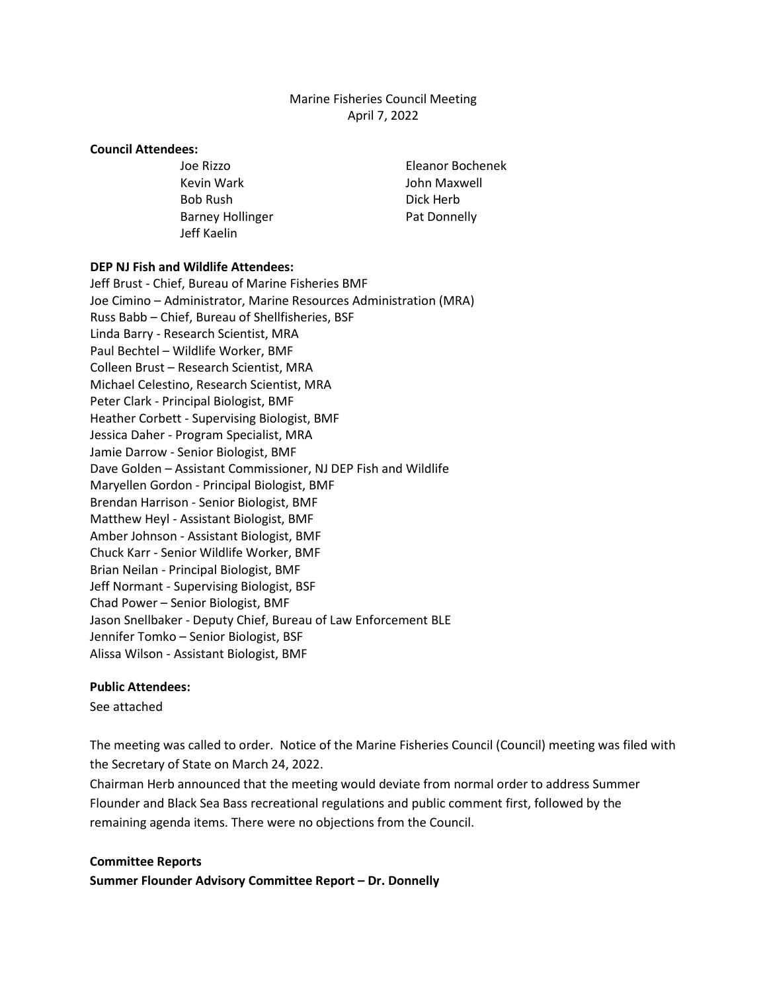## Marine Fisheries Council Meeting April 7, 2022

#### **Council Attendees:**

Kevin Wark **John Maxwell** Bob Rush Dick Herb Barney Hollinger **Pat Donnelly** Jeff Kaelin

Joe Rizzo Eleanor Bochenek

### **DEP NJ Fish and Wildlife Attendees:**

Jeff Brust - Chief, Bureau of Marine Fisheries BMF Joe Cimino – Administrator, Marine Resources Administration (MRA) Russ Babb – Chief, Bureau of Shellfisheries, BSF Linda Barry - Research Scientist, MRA Paul Bechtel – Wildlife Worker, BMF Colleen Brust – Research Scientist, MRA Michael Celestino, Research Scientist, MRA Peter Clark - Principal Biologist, BMF Heather Corbett - Supervising Biologist, BMF Jessica Daher - Program Specialist, MRA Jamie Darrow - Senior Biologist, BMF Dave Golden – Assistant Commissioner, NJ DEP Fish and Wildlife Maryellen Gordon - Principal Biologist, BMF Brendan Harrison - Senior Biologist, BMF Matthew Heyl - Assistant Biologist, BMF Amber Johnson - Assistant Biologist, BMF Chuck Karr - Senior Wildlife Worker, BMF Brian Neilan - Principal Biologist, BMF Jeff Normant - Supervising Biologist, BSF Chad Power – Senior Biologist, BMF Jason Snellbaker - Deputy Chief, Bureau of Law Enforcement BLE Jennifer Tomko – Senior Biologist, BSF Alissa Wilson - Assistant Biologist, BMF

### **Public Attendees:**

See attached

The meeting was called to order. Notice of the Marine Fisheries Council (Council) meeting was filed with the Secretary of State on March 24, 2022.

Chairman Herb announced that the meeting would deviate from normal order to address Summer Flounder and Black Sea Bass recreational regulations and public comment first, followed by the remaining agenda items. There were no objections from the Council.

### **Committee Reports**

**Summer Flounder Advisory Committee Report – Dr. Donnelly**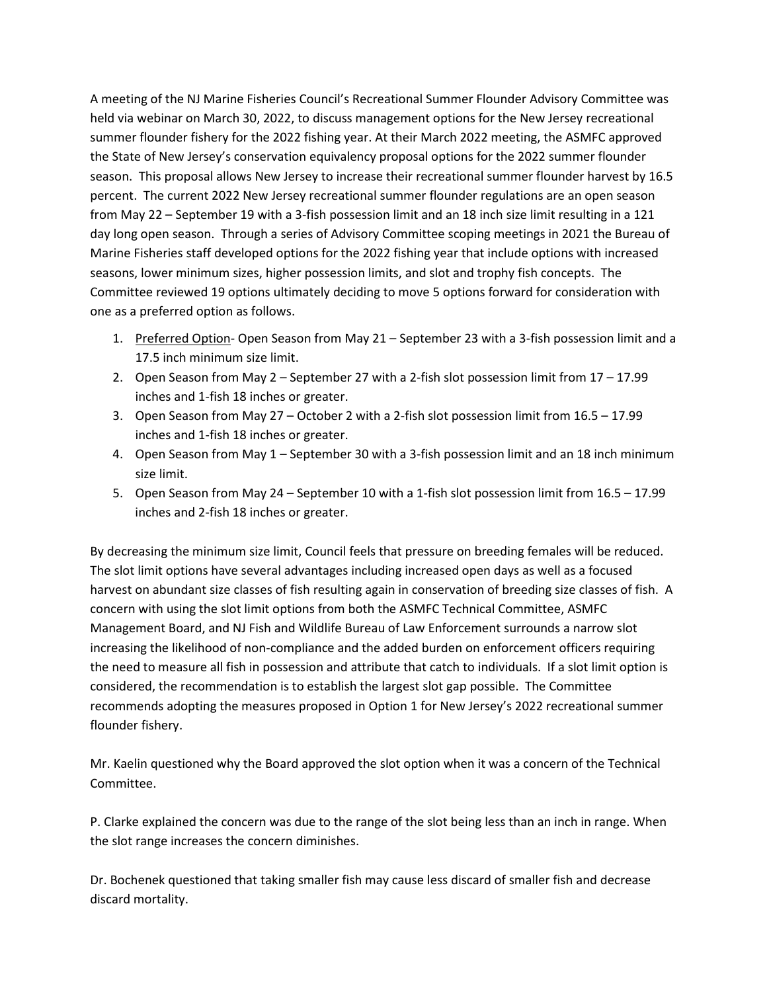A meeting of the NJ Marine Fisheries Council's Recreational Summer Flounder Advisory Committee was held via webinar on March 30, 2022, to discuss management options for the New Jersey recreational summer flounder fishery for the 2022 fishing year. At their March 2022 meeting, the ASMFC approved the State of New Jersey's conservation equivalency proposal options for the 2022 summer flounder season. This proposal allows New Jersey to increase their recreational summer flounder harvest by 16.5 percent. The current 2022 New Jersey recreational summer flounder regulations are an open season from May 22 – September 19 with a 3-fish possession limit and an 18 inch size limit resulting in a 121 day long open season. Through a series of Advisory Committee scoping meetings in 2021 the Bureau of Marine Fisheries staff developed options for the 2022 fishing year that include options with increased seasons, lower minimum sizes, higher possession limits, and slot and trophy fish concepts. The Committee reviewed 19 options ultimately deciding to move 5 options forward for consideration with one as a preferred option as follows.

- 1. Preferred Option- Open Season from May 21 September 23 with a 3-fish possession limit and a 17.5 inch minimum size limit.
- 2. Open Season from May 2 September 27 with a 2-fish slot possession limit from 17 17.99 inches and 1-fish 18 inches or greater.
- 3. Open Season from May 27 October 2 with a 2-fish slot possession limit from 16.5 17.99 inches and 1-fish 18 inches or greater.
- 4. Open Season from May 1 September 30 with a 3-fish possession limit and an 18 inch minimum size limit.
- 5. Open Season from May 24 September 10 with a 1-fish slot possession limit from 16.5 17.99 inches and 2-fish 18 inches or greater.

By decreasing the minimum size limit, Council feels that pressure on breeding females will be reduced. The slot limit options have several advantages including increased open days as well as a focused harvest on abundant size classes of fish resulting again in conservation of breeding size classes of fish. A concern with using the slot limit options from both the ASMFC Technical Committee, ASMFC Management Board, and NJ Fish and Wildlife Bureau of Law Enforcement surrounds a narrow slot increasing the likelihood of non-compliance and the added burden on enforcement officers requiring the need to measure all fish in possession and attribute that catch to individuals. If a slot limit option is considered, the recommendation is to establish the largest slot gap possible. The Committee recommends adopting the measures proposed in Option 1 for New Jersey's 2022 recreational summer flounder fishery.

Mr. Kaelin questioned why the Board approved the slot option when it was a concern of the Technical Committee.

P. Clarke explained the concern was due to the range of the slot being less than an inch in range. When the slot range increases the concern diminishes.

Dr. Bochenek questioned that taking smaller fish may cause less discard of smaller fish and decrease discard mortality.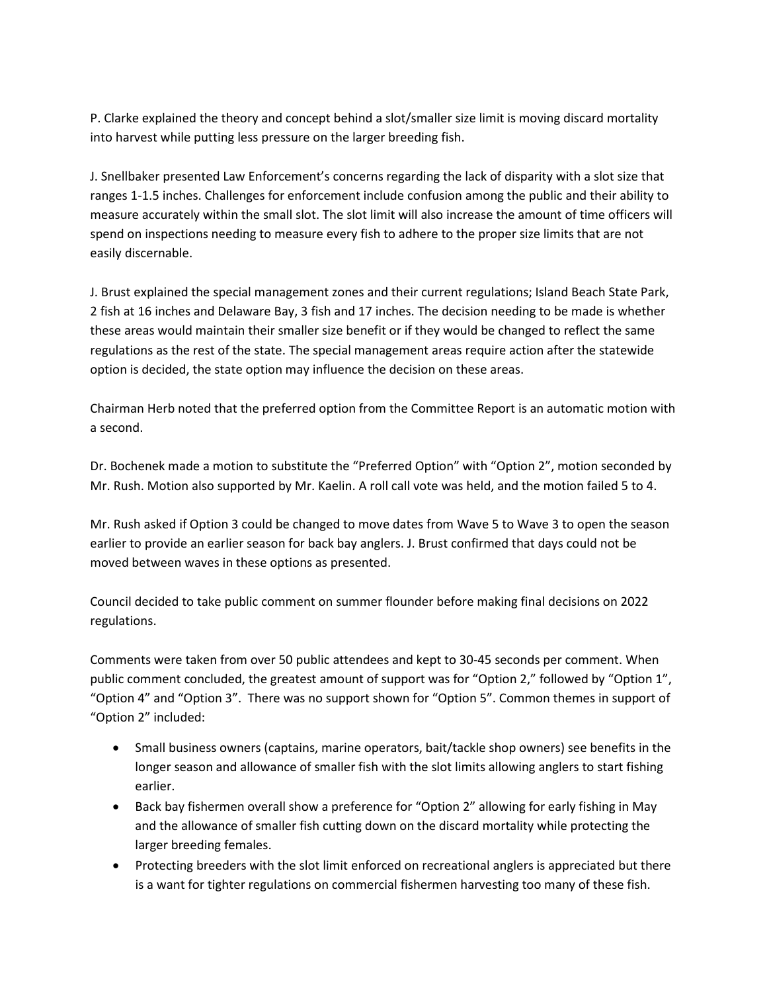P. Clarke explained the theory and concept behind a slot/smaller size limit is moving discard mortality into harvest while putting less pressure on the larger breeding fish.

J. Snellbaker presented Law Enforcement's concerns regarding the lack of disparity with a slot size that ranges 1-1.5 inches. Challenges for enforcement include confusion among the public and their ability to measure accurately within the small slot. The slot limit will also increase the amount of time officers will spend on inspections needing to measure every fish to adhere to the proper size limits that are not easily discernable.

J. Brust explained the special management zones and their current regulations; Island Beach State Park, 2 fish at 16 inches and Delaware Bay, 3 fish and 17 inches. The decision needing to be made is whether these areas would maintain their smaller size benefit or if they would be changed to reflect the same regulations as the rest of the state. The special management areas require action after the statewide option is decided, the state option may influence the decision on these areas.

Chairman Herb noted that the preferred option from the Committee Report is an automatic motion with a second.

Dr. Bochenek made a motion to substitute the "Preferred Option" with "Option 2", motion seconded by Mr. Rush. Motion also supported by Mr. Kaelin. A roll call vote was held, and the motion failed 5 to 4.

Mr. Rush asked if Option 3 could be changed to move dates from Wave 5 to Wave 3 to open the season earlier to provide an earlier season for back bay anglers. J. Brust confirmed that days could not be moved between waves in these options as presented.

Council decided to take public comment on summer flounder before making final decisions on 2022 regulations.

Comments were taken from over 50 public attendees and kept to 30-45 seconds per comment. When public comment concluded, the greatest amount of support was for "Option 2," followed by "Option 1", "Option 4" and "Option 3". There was no support shown for "Option 5". Common themes in support of "Option 2" included:

- Small business owners (captains, marine operators, bait/tackle shop owners) see benefits in the longer season and allowance of smaller fish with the slot limits allowing anglers to start fishing earlier.
- Back bay fishermen overall show a preference for "Option 2" allowing for early fishing in May and the allowance of smaller fish cutting down on the discard mortality while protecting the larger breeding females.
- Protecting breeders with the slot limit enforced on recreational anglers is appreciated but there is a want for tighter regulations on commercial fishermen harvesting too many of these fish.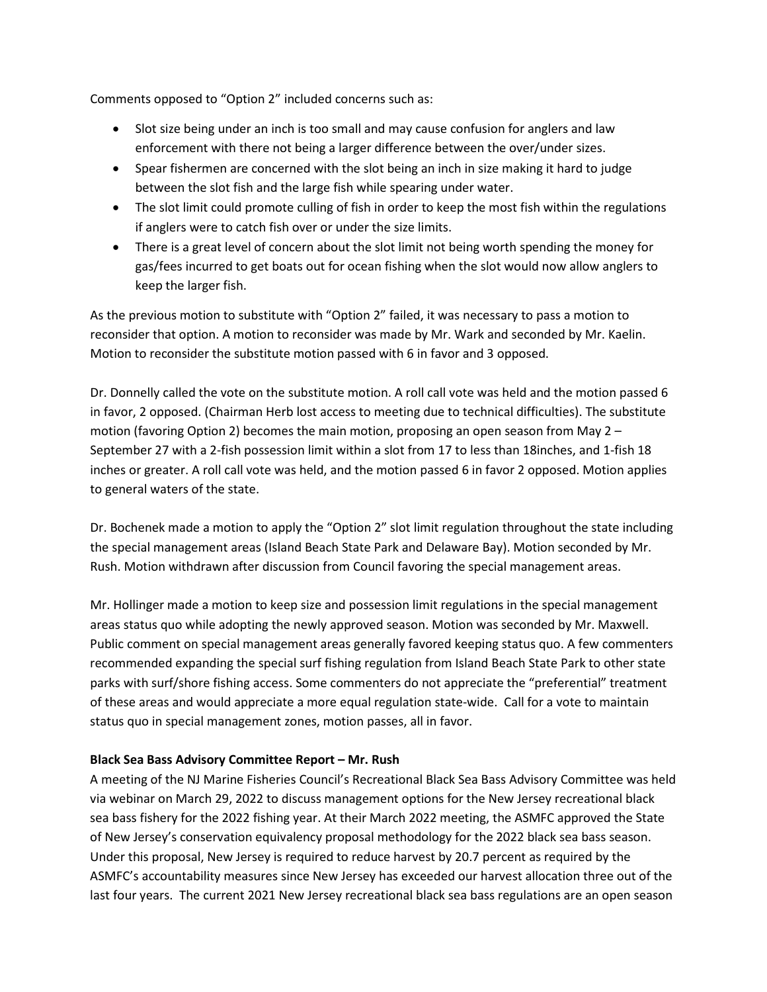Comments opposed to "Option 2" included concerns such as:

- Slot size being under an inch is too small and may cause confusion for anglers and law enforcement with there not being a larger difference between the over/under sizes.
- Spear fishermen are concerned with the slot being an inch in size making it hard to judge between the slot fish and the large fish while spearing under water.
- The slot limit could promote culling of fish in order to keep the most fish within the regulations if anglers were to catch fish over or under the size limits.
- There is a great level of concern about the slot limit not being worth spending the money for gas/fees incurred to get boats out for ocean fishing when the slot would now allow anglers to keep the larger fish.

As the previous motion to substitute with "Option 2" failed, it was necessary to pass a motion to reconsider that option. A motion to reconsider was made by Mr. Wark and seconded by Mr. Kaelin. Motion to reconsider the substitute motion passed with 6 in favor and 3 opposed.

Dr. Donnelly called the vote on the substitute motion. A roll call vote was held and the motion passed 6 in favor, 2 opposed. (Chairman Herb lost access to meeting due to technical difficulties). The substitute motion (favoring Option 2) becomes the main motion, proposing an open season from May 2 – September 27 with a 2-fish possession limit within a slot from 17 to less than 18inches, and 1-fish 18 inches or greater. A roll call vote was held, and the motion passed 6 in favor 2 opposed. Motion applies to general waters of the state.

Dr. Bochenek made a motion to apply the "Option 2" slot limit regulation throughout the state including the special management areas (Island Beach State Park and Delaware Bay). Motion seconded by Mr. Rush. Motion withdrawn after discussion from Council favoring the special management areas.

Mr. Hollinger made a motion to keep size and possession limit regulations in the special management areas status quo while adopting the newly approved season. Motion was seconded by Mr. Maxwell. Public comment on special management areas generally favored keeping status quo. A few commenters recommended expanding the special surf fishing regulation from Island Beach State Park to other state parks with surf/shore fishing access. Some commenters do not appreciate the "preferential" treatment of these areas and would appreciate a more equal regulation state-wide. Call for a vote to maintain status quo in special management zones, motion passes, all in favor.

## **Black Sea Bass Advisory Committee Report – Mr. Rush**

A meeting of the NJ Marine Fisheries Council's Recreational Black Sea Bass Advisory Committee was held via webinar on March 29, 2022 to discuss management options for the New Jersey recreational black sea bass fishery for the 2022 fishing year. At their March 2022 meeting, the ASMFC approved the State of New Jersey's conservation equivalency proposal methodology for the 2022 black sea bass season. Under this proposal, New Jersey is required to reduce harvest by 20.7 percent as required by the ASMFC's accountability measures since New Jersey has exceeded our harvest allocation three out of the last four years. The current 2021 New Jersey recreational black sea bass regulations are an open season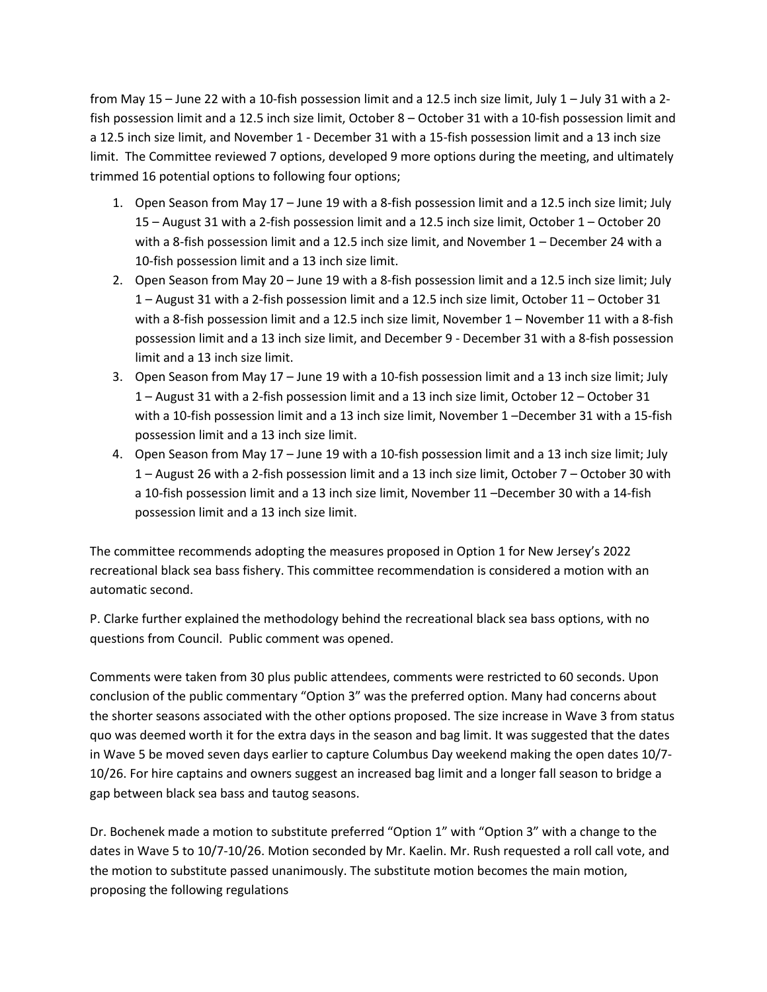from May 15 – June 22 with a 10-fish possession limit and a 12.5 inch size limit, July 1 – July 31 with a 2 fish possession limit and a 12.5 inch size limit, October 8 – October 31 with a 10-fish possession limit and a 12.5 inch size limit, and November 1 - December 31 with a 15-fish possession limit and a 13 inch size limit. The Committee reviewed 7 options, developed 9 more options during the meeting, and ultimately trimmed 16 potential options to following four options;

- 1. Open Season from May 17 June 19 with a 8-fish possession limit and a 12.5 inch size limit; July 15 – August 31 with a 2-fish possession limit and a 12.5 inch size limit, October 1 – October 20 with a 8-fish possession limit and a 12.5 inch size limit, and November 1 – December 24 with a 10-fish possession limit and a 13 inch size limit.
- 2. Open Season from May 20 June 19 with a 8-fish possession limit and a 12.5 inch size limit; July 1 – August 31 with a 2-fish possession limit and a 12.5 inch size limit, October 11 – October 31 with a 8-fish possession limit and a 12.5 inch size limit, November 1 – November 11 with a 8-fish possession limit and a 13 inch size limit, and December 9 - December 31 with a 8-fish possession limit and a 13 inch size limit.
- 3. Open Season from May 17 June 19 with a 10-fish possession limit and a 13 inch size limit; July 1 – August 31 with a 2-fish possession limit and a 13 inch size limit, October 12 – October 31 with a 10-fish possession limit and a 13 inch size limit, November 1 –December 31 with a 15-fish possession limit and a 13 inch size limit.
- 4. Open Season from May 17 June 19 with a 10-fish possession limit and a 13 inch size limit; July 1 – August 26 with a 2-fish possession limit and a 13 inch size limit, October 7 – October 30 with a 10-fish possession limit and a 13 inch size limit, November 11 –December 30 with a 14-fish possession limit and a 13 inch size limit.

The committee recommends adopting the measures proposed in Option 1 for New Jersey's 2022 recreational black sea bass fishery. This committee recommendation is considered a motion with an automatic second.

P. Clarke further explained the methodology behind the recreational black sea bass options, with no questions from Council. Public comment was opened.

Comments were taken from 30 plus public attendees, comments were restricted to 60 seconds. Upon conclusion of the public commentary "Option 3" was the preferred option. Many had concerns about the shorter seasons associated with the other options proposed. The size increase in Wave 3 from status quo was deemed worth it for the extra days in the season and bag limit. It was suggested that the dates in Wave 5 be moved seven days earlier to capture Columbus Day weekend making the open dates 10/7- 10/26. For hire captains and owners suggest an increased bag limit and a longer fall season to bridge a gap between black sea bass and tautog seasons.

Dr. Bochenek made a motion to substitute preferred "Option 1" with "Option 3" with a change to the dates in Wave 5 to 10/7-10/26. Motion seconded by Mr. Kaelin. Mr. Rush requested a roll call vote, and the motion to substitute passed unanimously. The substitute motion becomes the main motion, proposing the following regulations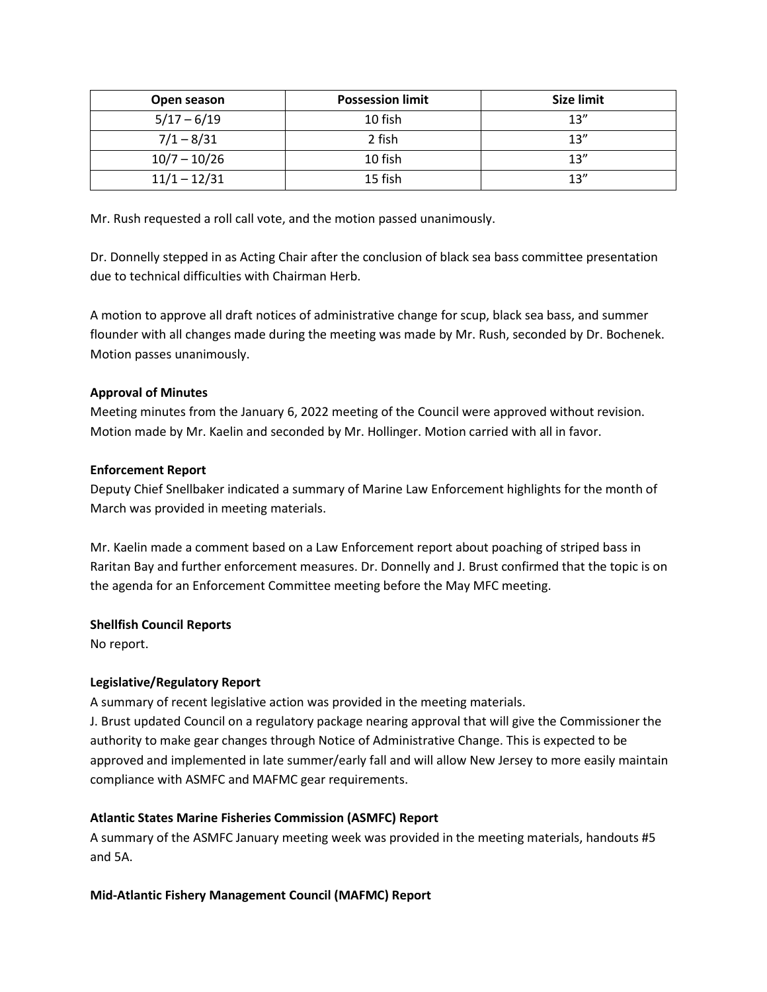| Open season    | <b>Possession limit</b> | <b>Size limit</b> |
|----------------|-------------------------|-------------------|
| $5/17 - 6/19$  | 10 fish                 | 13''              |
| $7/1 - 8/31$   | 2 fish                  | 13''              |
| $10/7 - 10/26$ | 10 fish                 | 13''              |
| $11/1 - 12/31$ | 15 fish                 | 13''              |

Mr. Rush requested a roll call vote, and the motion passed unanimously.

Dr. Donnelly stepped in as Acting Chair after the conclusion of black sea bass committee presentation due to technical difficulties with Chairman Herb.

A motion to approve all draft notices of administrative change for scup, black sea bass, and summer flounder with all changes made during the meeting was made by Mr. Rush, seconded by Dr. Bochenek. Motion passes unanimously.

# **Approval of Minutes**

Meeting minutes from the January 6, 2022 meeting of the Council were approved without revision. Motion made by Mr. Kaelin and seconded by Mr. Hollinger. Motion carried with all in favor.

## **Enforcement Report**

Deputy Chief Snellbaker indicated a summary of Marine Law Enforcement highlights for the month of March was provided in meeting materials.

Mr. Kaelin made a comment based on a Law Enforcement report about poaching of striped bass in Raritan Bay and further enforcement measures. Dr. Donnelly and J. Brust confirmed that the topic is on the agenda for an Enforcement Committee meeting before the May MFC meeting.

## **Shellfish Council Reports**

No report.

# **Legislative/Regulatory Report**

A summary of recent legislative action was provided in the meeting materials.

J. Brust updated Council on a regulatory package nearing approval that will give the Commissioner the authority to make gear changes through Notice of Administrative Change. This is expected to be approved and implemented in late summer/early fall and will allow New Jersey to more easily maintain compliance with ASMFC and MAFMC gear requirements.

# **Atlantic States Marine Fisheries Commission (ASMFC) Report**

A summary of the ASMFC January meeting week was provided in the meeting materials, handouts #5 and 5A.

# **Mid-Atlantic Fishery Management Council (MAFMC) Report**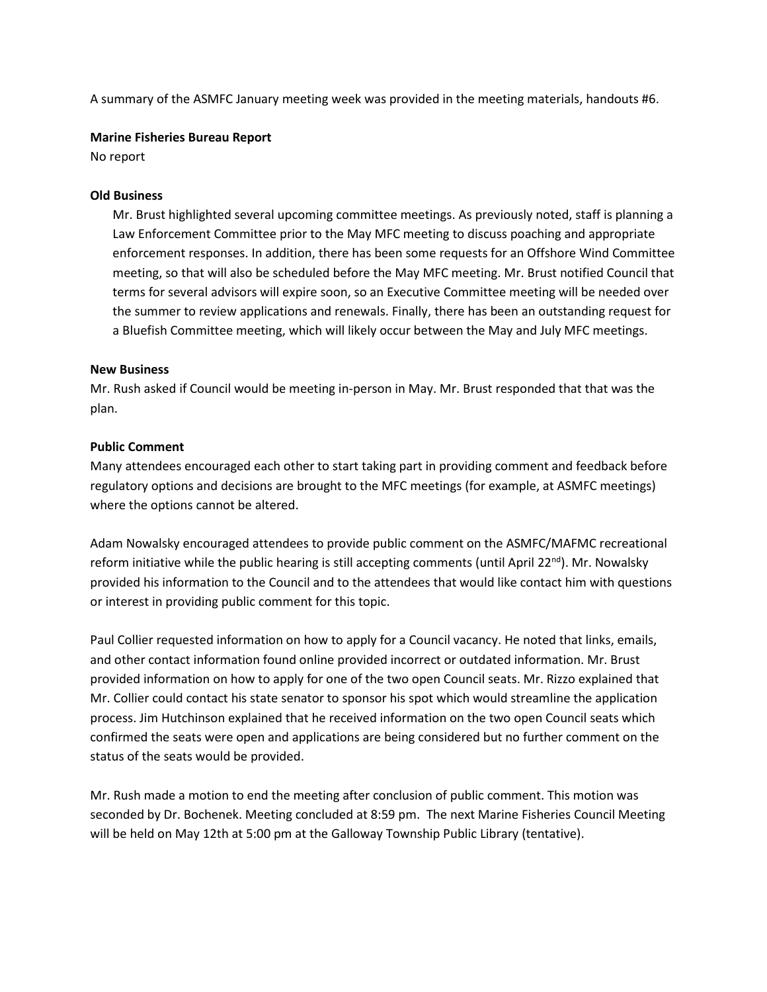A summary of the ASMFC January meeting week was provided in the meeting materials, handouts #6.

## **Marine Fisheries Bureau Report**

No report

## **Old Business**

Mr. Brust highlighted several upcoming committee meetings. As previously noted, staff is planning a Law Enforcement Committee prior to the May MFC meeting to discuss poaching and appropriate enforcement responses. In addition, there has been some requests for an Offshore Wind Committee meeting, so that will also be scheduled before the May MFC meeting. Mr. Brust notified Council that terms for several advisors will expire soon, so an Executive Committee meeting will be needed over the summer to review applications and renewals. Finally, there has been an outstanding request for a Bluefish Committee meeting, which will likely occur between the May and July MFC meetings.

## **New Business**

Mr. Rush asked if Council would be meeting in-person in May. Mr. Brust responded that that was the plan.

## **Public Comment**

Many attendees encouraged each other to start taking part in providing comment and feedback before regulatory options and decisions are brought to the MFC meetings (for example, at ASMFC meetings) where the options cannot be altered.

Adam Nowalsky encouraged attendees to provide public comment on the ASMFC/MAFMC recreational reform initiative while the public hearing is still accepting comments (until April 22<sup>nd</sup>). Mr. Nowalsky provided his information to the Council and to the attendees that would like contact him with questions or interest in providing public comment for this topic.

Paul Collier requested information on how to apply for a Council vacancy. He noted that links, emails, and other contact information found online provided incorrect or outdated information. Mr. Brust provided information on how to apply for one of the two open Council seats. Mr. Rizzo explained that Mr. Collier could contact his state senator to sponsor his spot which would streamline the application process. Jim Hutchinson explained that he received information on the two open Council seats which confirmed the seats were open and applications are being considered but no further comment on the status of the seats would be provided.

Mr. Rush made a motion to end the meeting after conclusion of public comment. This motion was seconded by Dr. Bochenek. Meeting concluded at 8:59 pm. The next Marine Fisheries Council Meeting will be held on May 12th at 5:00 pm at the Galloway Township Public Library (tentative).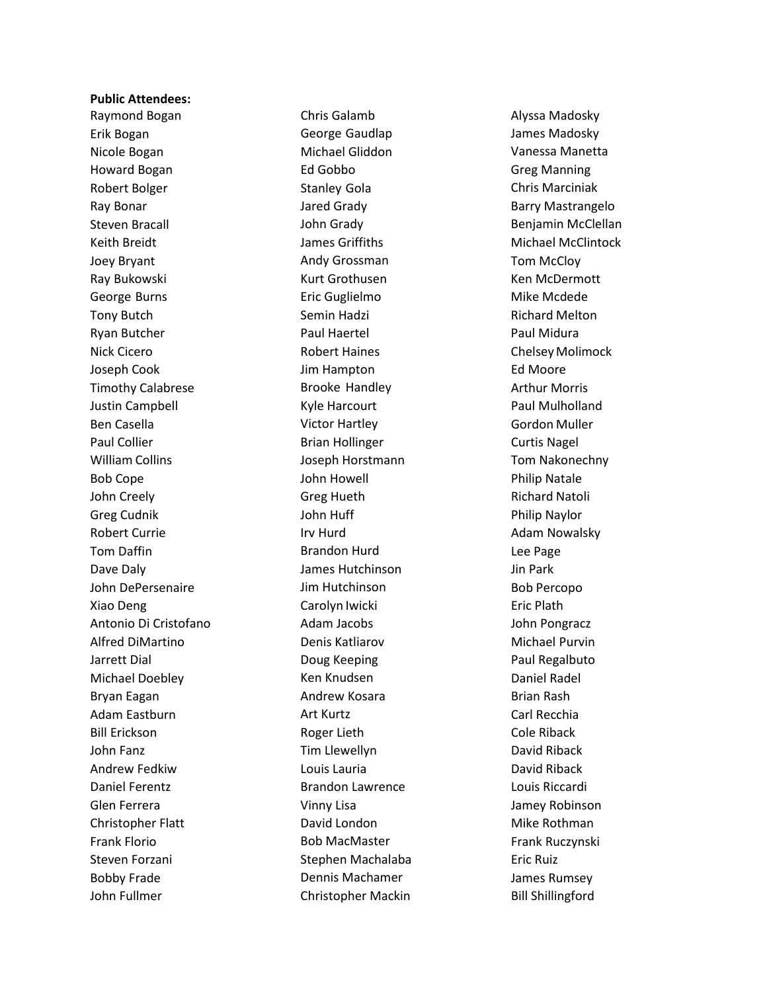#### **Public Attendees:**

Raymond Bogan Erik Bogan Nicole Bogan Howard Bogan Robert Bolger Ray Bonar Steven Bracall Keith Breidt Joey Bryant Ray Bukowski George Burns Tony Butch Ryan Butcher Nick Cicero Joseph Cook Timothy Calabrese Justin Campbell Ben Casella Paul Collier William Collins Bob Cope John Creely Greg Cudnik Robert Currie Tom Daffin Dave Daly John DePersenaire Xiao Deng Antonio Di Cristofano Alfred DiMartino Jarrett Dial Michael Doebley Bryan Eagan Adam Eastburn Bill Erickson John Fanz Andrew Fedkiw Daniel Ferentz Glen Ferrera Christopher Flatt Frank Florio Steven Forzani Bobby Frade John Fullmer

Chris Galamb George Gaudlap Michael Gliddon Ed Gobbo Stanley Gola Jared Grady John Grady James Griffiths Andy Grossman Kurt Grothusen Eric Guglielmo Semin Hadzi Paul Haertel Robert Haines Jim Hampton Brooke Handley Kyle Harcourt Victor Hartley Brian Hollinger Joseph Horstmann John Howell Greg Hueth John Huff Irv Hurd Brandon Hurd James Hutchinson Jim Hutchinson Carolyn Iwicki Adam Jacobs Denis Katliarov Doug Keeping Ken Knudsen Andrew Kosara Art Kurtz Roger Lieth Tim Llewellyn Louis Lauria Brandon Lawrence Vinny Lisa David London Bob MacMaster Stephen Machalaba Dennis Machamer Christopher Mackin Alyssa Madosky James Madosky Vanessa Manetta Greg Manning Chris Marciniak Barry Mastrangelo Benjamin McClellan Michael McClintock Tom McCloy Ken McDermott Mike Mcdede Richard Melton Paul Midura ChelseyMolimock Ed Moore Arthur Morris Paul Mulholland Gordon Muller Curtis Nagel Tom Nakonechny Philip Natale Richard Natoli Philip Naylor Adam Nowalsky Lee Page Jin Park Bob Percopo Eric Plath John Pongracz Michael Purvin Paul Regalbuto Daniel Radel Brian Rash Carl Recchia Cole Riback David Riback David Riback Louis Riccardi Jamey Robinson Mike Rothman Frank Ruczynski Eric Ruiz James Rumsey Bill Shillingford